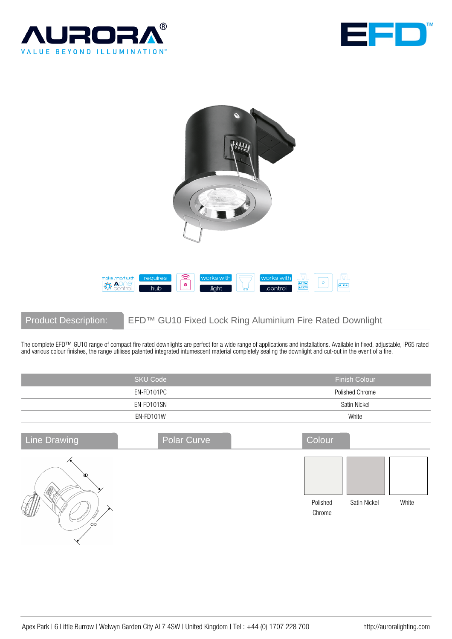





Product Description: EFD™ GU10 Fixed Lock Ring Aluminium Fire Rated Downlight

The complete EFD™ GU10 range of compact fire rated downlights are perfect for a wide range of applications and installations. Available in fixed, adjustable, IP65 rated and various colour finishes, the range utilises patented integrated intumescent material completely sealing the downlight and cut-out in the event of a fire.

|                                            | <b>SKU Code</b> | <b>Finish Colour</b>                        |
|--------------------------------------------|-----------------|---------------------------------------------|
|                                            | EN-FD101PC      | Polished Chrome                             |
|                                            | EN-FD101SN      | Satin Nickel                                |
|                                            | EN-FD101W       | White                                       |
| <b>Line Drawing</b>                        | Polar Curve     | Colour                                      |
| R <sub>D</sub><br>$_{\rm OD}$<br>$\lambda$ |                 | Polished<br>Satin Nickel<br>White<br>Chrome |